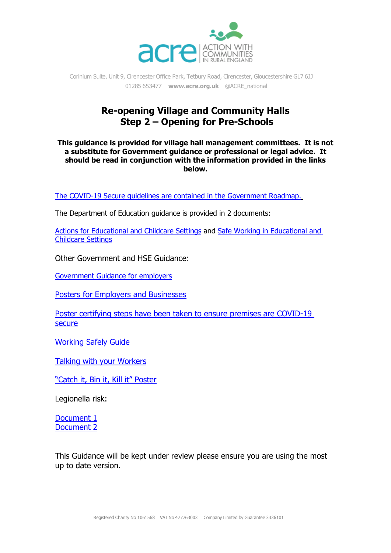

Corinium Suite, Unit 9, Cirencester Office Park, Tetbury Road, Cirencester, Gloucestershire GL7 6JJ 01285 653477 **[www.acre.org.uk](http://www.acre.org.uk/)** @ACRE\_national

## **Re-opening Village and Community Halls Step 2 – Opening for Pre-Schools**

**This guidance is provided for village hall management committees. It is not a substitute for Government guidance or professional or legal advice. It should be read in conjunction with the information provided in the links below.**

[The COVID-19 Secure guidelines are contained in](https://www.gov.uk/government/publications/our-plan-to-rebuild-the-uk-governments-covid-19-recovery-strategy) the Government Roadmap.

The Department of Education guidance is provided in 2 documents:

[Actions for Educational and Childcare Settings](https://www.gov.uk/government/publications/actions-for-educational-and-childcare-settings-to-prepare-for-wider-opening-from-1-june-2020) and Safe Working in Educational and [Childcare Settings](https://www.gov.uk/government/publications/safe-working-in-education-childcare-and-childrens-social-care/safe-working-in-education-childcare-and-childrens-social-care-settings-including-the-use-of-personal-protective-equipment-ppe)

Other Government and HSE Guidance:

[Government Guidance for employers](https://www.gov.uk/government/publications/guidance-to-employers-and-businesses-about-covid-19/guidance-for-employers-and-businesses-on-coronavirus-covid-19)

Posters [for Employers and Businesses](https://assets.publishing.service.gov.uk/government/uploads/system/uploads/attachment_data/file/876212/COVID19_Guidance_Employers_and_businesses_.pdf)

[Poster certifying steps have been taken to ensure premises are COVID-19](file:///C:/Users/Deborah%20Clarke/Desktop/Poster%20certifying%20an%20employer%20has%20taken%20steps%20to%20ensure%20premises%20are%20Covid-19%20secure)  [secure](file:///C:/Users/Deborah%20Clarke/Desktop/Poster%20certifying%20an%20employer%20has%20taken%20steps%20to%20ensure%20premises%20are%20Covid-19%20secure)

[Working Safely Guide](https://www.hse.gov.uk/news/assets/docs/working-safely-guide.pdf)

[Talking with your Workers](https://www.hse.gov.uk/news/assets/docs/talking-with-your-workers.pdf)

["Catch it, Bin it, Kill it"](https://www.england.nhs.uk/south/wp-content/uploads/sites/6/2017/09/catch-bin-kill.pdf) Poster

Legionella risk:

[Document 1](https://www.hse.gov.uk/legionnaires/) [Document 2](https://legionellacontrol.com/guidance/regular-flushing-control-legionella/)

This Guidance will be kept under review please ensure you are using the most up to date version.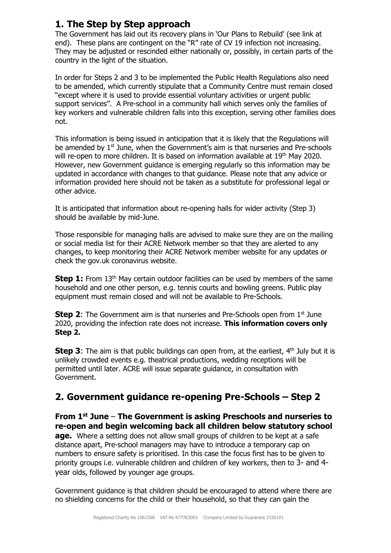# **1. The Step by Step approach**

The Government has laid out its recovery plans in 'Our Plans to Rebuild' (see link at end). These plans are contingent on the "R" rate of CV 19 infection not increasing. They may be adjusted or rescinded either nationally or, possibly, in certain parts of the country in the light of the situation.

In order for Steps 2 and 3 to be implemented the Public Health Regulations also need to be amended, which currently stipulate that a Community Centre must remain closed "except where it is used to provide essential voluntary activities or urgent public support services". A Pre-school in a community hall which serves only the families of key workers and vulnerable children falls into this exception, serving other families does not.

This information is being issued in anticipation that it is likely that the Regulations will be amended by 1<sup>st</sup> June, when the Government's aim is that nurseries and Pre-schools will re-open to more children. It is based on information available at 19<sup>th</sup> May 2020. However, new Government guidance is emerging regularly so this information may be updated in accordance with changes to that guidance. Please note that any advice or information provided here should not be taken as a substitute for professional legal or other advice.

It is anticipated that information about re-opening halls for wider activity (Step 3) should be available by mid-June.

Those responsible for managing halls are advised to make sure they are on the mailing or social media list for their ACRE Network member so that they are alerted to any changes, to keep monitoring their ACRE Network member website for any updates or check the gov.uk coronavirus website.

**Step 1:** From 13<sup>th</sup> May certain outdoor facilities can be used by members of the same household and one other person, e.g. tennis courts and bowling greens. Public play equipment must remain closed and will not be available to Pre-Schools.

**Step 2:** The Government aim is that nurseries and Pre-Schools open from 1<sup>st</sup> June 2020, providing the infection rate does not increase. **This information covers only Step 2.** 

**Step 3**: The aim is that public buildings can open from, at the earliest, 4<sup>th</sup> July but it is unlikely crowded events e.g. theatrical productions, wedding receptions will be permitted until later. ACRE will issue separate guidance, in consultation with Government.

# **2. Government guidance re-opening Pre-Schools – Step 2**

## **From 1st June** – **The Government is asking Preschools and nurseries to re-open and begin welcoming back all children below statutory school**

**age.** Where a setting does not allow small groups of children to be kept at a safe distance apart, Pre-school managers may have to introduce a temporary cap on numbers to ensure safety is prioritised. In this case the focus first has to be given to priority groups i.e. vulnerable children and children of key workers, then to 3- and 4 year olds, followed by younger age groups.

Government guidance is that children should be encouraged to attend where there are no shielding concerns for the child or their household, so that they can gain the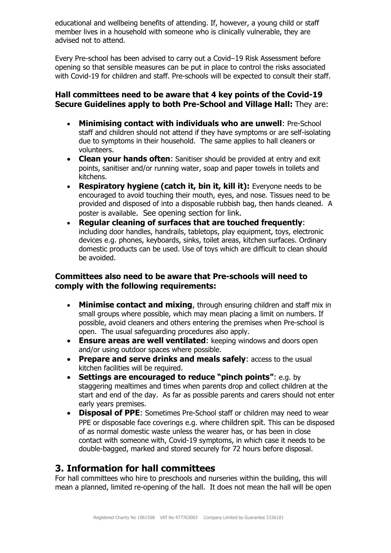educational and wellbeing benefits of attending. If, however, a young child or staff member lives in a household with someone who is clinically vulnerable, they are advised not to attend.

Every Pre-school has been advised to carry out a Covid–19 Risk Assessment before opening so that sensible measures can be put in place to control the risks associated with Covid-19 for children and staff. Pre-schools will be expected to consult their staff.

## **Hall committees need to be aware that 4 key points of the Covid-19 Secure Guidelines apply to both Pre-School and Village Hall:** They are:

- **Minimising contact with individuals who are unwell**: Pre-School staff and children should not attend if they have symptoms or are self-isolating due to symptoms in their household. The same applies to hall cleaners or volunteers.
- **Clean your hands often**: Sanitiser should be provided at entry and exit points, sanitiser and/or running water, soap and paper towels in toilets and kitchens.
- **Respiratory hygiene (catch it, bin it, kill it):** Everyone needs to be encouraged to avoid touching their mouth, eyes, and nose. Tissues need to be provided and disposed of into a disposable rubbish bag, then hands cleaned. A poster is available. See opening section for link.
- **Regular cleaning of surfaces that are touched frequently**: including door handles, handrails, tabletops, play equipment, toys, electronic devices e.g. phones, keyboards, sinks, toilet areas, kitchen surfaces. Ordinary domestic products can be used. Use of toys which are difficult to clean should be avoided.

### **Committees also need to be aware that Pre-schools will need to comply with the following requirements:**

- **Minimise contact and mixing**, through ensuring children and staff mix in small groups where possible, which may mean placing a limit on numbers. If possible, avoid cleaners and others entering the premises when Pre-school is open. The usual safeguarding procedures also apply.
- **Ensure areas are well ventilated**: keeping windows and doors open and/or using outdoor spaces where possible.
- **Prepare and serve drinks and meals safely**: access to the usual kitchen facilities will be required.
- **Settings are encouraged to reduce "pinch points"**: e.g. by staggering mealtimes and times when parents drop and collect children at the start and end of the day. As far as possible parents and carers should not enter early years premises.
- **Disposal of PPE**: Sometimes Pre-School staff or children may need to wear PPE or disposable face coverings e.g. where children spit. This can be disposed of as normal domestic waste unless the wearer has, or has been in close contact with someone with, Covid-19 symptoms, in which case it needs to be double-bagged, marked and stored securely for 72 hours before disposal.

## **3. Information for hall committees**

For hall committees who hire to preschools and nurseries within the building, this will mean a planned, limited re-opening of the hall. It does not mean the hall will be open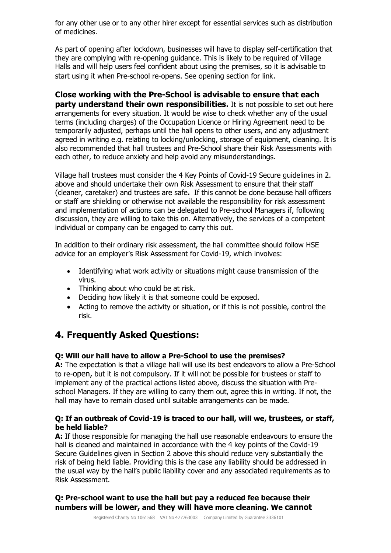for any other use or to any other hirer except for essential services such as distribution of medicines.

As part of opening after lockdown, businesses will have to display self-certification that they are complying with re-opening guidance. This is likely to be required of Village Halls and will help users feel confident about using the premises, so it is advisable to start using it when Pre-school re-opens. See opening section for link.

### **Close working with the Pre-School is advisable to ensure that each**

**party understand their own responsibilities.** It is not possible to set out here arrangements for every situation. It would be wise to check whether any of the usual terms (including charges) of the Occupation Licence or Hiring Agreement need to be temporarily adjusted, perhaps until the hall opens to other users, and any adjustment agreed in writing e.g. relating to locking/unlocking, storage of equipment, cleaning. It is also recommended that hall trustees and Pre-School share their Risk Assessments with each other, to reduce anxiety and help avoid any misunderstandings.

Village hall trustees must consider the 4 Key Points of Covid-19 Secure guidelines in 2. above and should undertake their own Risk Assessment to ensure that their staff (cleaner, caretaker) and trustees are safe**.** If this cannot be done because hall officers or staff are shielding or otherwise not available the responsibility for risk assessment and implementation of actions can be delegated to Pre-school Managers if, following discussion, they are willing to take this on. Alternatively, the services of a competent individual or company can be engaged to carry this out.

In addition to their ordinary risk assessment, the hall committee should follow HSE advice for an employer's Risk Assessment for Covid-19, which involves:

- Identifying what work activity or situations might cause transmission of the virus.
- Thinking about who could be at risk.
- Deciding how likely it is that someone could be exposed.
- Acting to remove the activity or situation, or if this is not possible, control the risk.

## **4. Frequently Asked Questions:**

#### **Q: Will our hall have to allow a Pre-School to use the premises?**

**A:** The expectation is that a village hall will use its best endeavors to allow a Pre-School to re-open, but it is not compulsory. If it will not be possible for trustees or staff to implement any of the practical actions listed above, discuss the situation with Preschool Managers. If they are willing to carry them out, agree this in writing. If not, the hall may have to remain closed until suitable arrangements can be made.

#### **Q: If an outbreak of Covid-19 is traced to our hall, will we, trustees, or staff, be held liable?**

**A:** If those responsible for managing the hall use reasonable endeavours to ensure the hall is cleaned and maintained in accordance with the 4 key points of the Covid-19 Secure Guidelines given in Section 2 above this should reduce very substantially the risk of being held liable. Providing this is the case any liability should be addressed in the usual way by the hall's public liability cover and any associated requirements as to Risk Assessment.

### **Q: Pre-school want to use the hall but pay a reduced fee because their numbers will be lower, and they will have more cleaning. We cannot**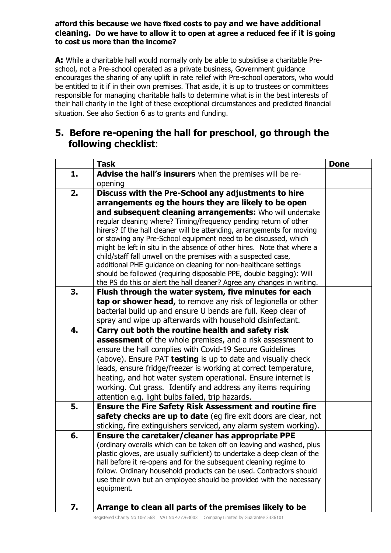### **afford this because we have fixed costs to pay and we have additional cleaning. Do we have to allow it to open at agree a reduced fee if it is going to cost us more than the income?**

**A:** While a charitable hall would normally only be able to subsidise a charitable Preschool, not a Pre-school operated as a private business, Government guidance encourages the sharing of any uplift in rate relief with Pre-school operators, who would be entitled to it if in their own premises. That aside, it is up to trustees or committees responsible for managing charitable halls to determine what is in the best interests of their hall charity in the light of these exceptional circumstances and predicted financial situation. See also Section 6 as to grants and funding.

## **5. Before re-opening the hall for preschool**, **go through the following checklist**:

| Advise the hall's insurers when the premises will be re-<br>1.<br>opening<br>Discuss with the Pre-School any adjustments to hire<br>2.<br>arrangements eg the hours they are likely to be open<br>and subsequent cleaning arrangements: Who will undertake<br>regular cleaning where? Timing/frequency pending return of other<br>hirers? If the hall cleaner will be attending, arrangements for moving<br>or stowing any Pre-School equipment need to be discussed, which |  |
|-----------------------------------------------------------------------------------------------------------------------------------------------------------------------------------------------------------------------------------------------------------------------------------------------------------------------------------------------------------------------------------------------------------------------------------------------------------------------------|--|
|                                                                                                                                                                                                                                                                                                                                                                                                                                                                             |  |
|                                                                                                                                                                                                                                                                                                                                                                                                                                                                             |  |
|                                                                                                                                                                                                                                                                                                                                                                                                                                                                             |  |
|                                                                                                                                                                                                                                                                                                                                                                                                                                                                             |  |
|                                                                                                                                                                                                                                                                                                                                                                                                                                                                             |  |
|                                                                                                                                                                                                                                                                                                                                                                                                                                                                             |  |
|                                                                                                                                                                                                                                                                                                                                                                                                                                                                             |  |
|                                                                                                                                                                                                                                                                                                                                                                                                                                                                             |  |
| might be left in situ in the absence of other hires. Note that where a                                                                                                                                                                                                                                                                                                                                                                                                      |  |
| child/staff fall unwell on the premises with a suspected case,<br>additional PHE guidance on cleaning for non-healthcare settings                                                                                                                                                                                                                                                                                                                                           |  |
| should be followed (requiring disposable PPE, double bagging): Will                                                                                                                                                                                                                                                                                                                                                                                                         |  |
| the PS do this or alert the hall cleaner? Agree any changes in writing.                                                                                                                                                                                                                                                                                                                                                                                                     |  |
| 3.<br>Flush through the water system, five minutes for each                                                                                                                                                                                                                                                                                                                                                                                                                 |  |
| tap or shower head, to remove any risk of legionella or other                                                                                                                                                                                                                                                                                                                                                                                                               |  |
| bacterial build up and ensure U bends are full. Keep clear of                                                                                                                                                                                                                                                                                                                                                                                                               |  |
| spray and wipe up afterwards with household disinfectant.                                                                                                                                                                                                                                                                                                                                                                                                                   |  |
| Carry out both the routine health and safety risk<br>4.                                                                                                                                                                                                                                                                                                                                                                                                                     |  |
| assessment of the whole premises, and a risk assessment to                                                                                                                                                                                                                                                                                                                                                                                                                  |  |
| ensure the hall complies with Covid-19 Secure Guidelines                                                                                                                                                                                                                                                                                                                                                                                                                    |  |
| (above). Ensure PAT testing is up to date and visually check                                                                                                                                                                                                                                                                                                                                                                                                                |  |
| leads, ensure fridge/freezer is working at correct temperature,                                                                                                                                                                                                                                                                                                                                                                                                             |  |
| heating, and hot water system operational. Ensure internet is                                                                                                                                                                                                                                                                                                                                                                                                               |  |
| working. Cut grass. Identify and address any items requiring                                                                                                                                                                                                                                                                                                                                                                                                                |  |
| attention e.g. light bulbs failed, trip hazards.                                                                                                                                                                                                                                                                                                                                                                                                                            |  |
| 5.<br><b>Ensure the Fire Safety Risk Assessment and routine fire</b>                                                                                                                                                                                                                                                                                                                                                                                                        |  |
| safety checks are up to date (eg fire exit doors are clear, not                                                                                                                                                                                                                                                                                                                                                                                                             |  |
| sticking, fire extinguishers serviced, any alarm system working).                                                                                                                                                                                                                                                                                                                                                                                                           |  |
| <b>Ensure the caretaker/cleaner has appropriate PPE</b><br>6.                                                                                                                                                                                                                                                                                                                                                                                                               |  |
| (ordinary overalls which can be taken off on leaving and washed, plus                                                                                                                                                                                                                                                                                                                                                                                                       |  |
| plastic gloves, are usually sufficient) to undertake a deep clean of the                                                                                                                                                                                                                                                                                                                                                                                                    |  |
| hall before it re-opens and for the subsequent cleaning regime to<br>follow. Ordinary household products can be used. Contractors should                                                                                                                                                                                                                                                                                                                                    |  |
| use their own but an employee should be provided with the necessary                                                                                                                                                                                                                                                                                                                                                                                                         |  |
| equipment.                                                                                                                                                                                                                                                                                                                                                                                                                                                                  |  |
|                                                                                                                                                                                                                                                                                                                                                                                                                                                                             |  |
| Arrange to clean all parts of the premises likely to be<br>7.                                                                                                                                                                                                                                                                                                                                                                                                               |  |